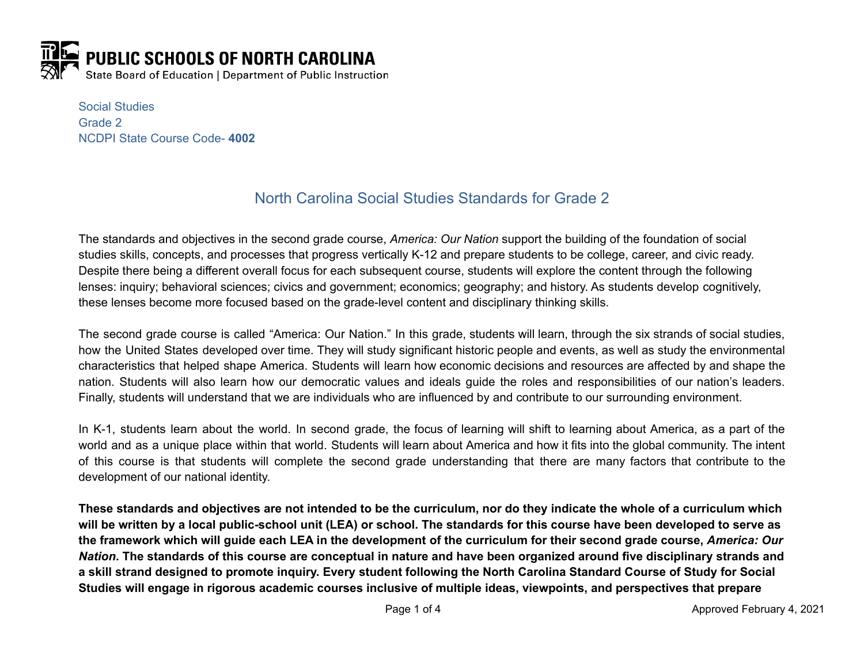

Social Studies Grade 2 NCDPI State Course Code- **4002**

# North Carolina Social Studies Standards for Grade 2

The standards and objectives in the second grade course, *America: Our Nation* support the building of the foundation of social studies skills, concepts, and processes that progress vertically K-12 and prepare students to be college, career, and civic ready. Despite there being a different overall focus for each subsequent course, students will explore the content through the following lenses: inquiry; behavioral sciences; civics and government; economics; geography; and history. As students develop cognitively, these lenses become more focused based on the grade-level content and disciplinary thinking skills.

The second grade course is called "America: Our Nation." In this grade, students will learn, through the six strands of social studies, how the United States developed over time. They will study significant historic people and events, as well as study the environmental characteristics that helped shape America. Students will learn how economic decisions and resources are affected by and shape the nation. Students will also learn how our democratic values and ideals guide the roles and responsibilities of our nation's leaders. Finally, students will understand that we are individuals who are influenced by and contribute to our surrounding environment.

In K-1, students learn about the world. In second grade, the focus of learning will shift to learning about America, as a part of the world and as a unique place within that world. Students will learn about America and how it fits into the global community. The intent of this course is that students will complete the second grade understanding that there are many factors that contribute to the development of our national identity.

These standards and objectives are not intended to be the curriculum, nor do they indicate the whole of a curriculum which will be written by a local public-school unit (LEA) or school. The standards for this course have been developed to serve as the framework which will guide each LEA in the development of the curriculum for their second grade course, America: Our Nation. The standards of this course are conceptual in nature and have been organized around five disciplinary strands and a skill strand designed to promote inquiry. Every student following the North Carolina Standard Course of Study for Social Studies will engage in rigorous academic courses inclusive of multiple ideas, viewpoints, and perspectives that prepare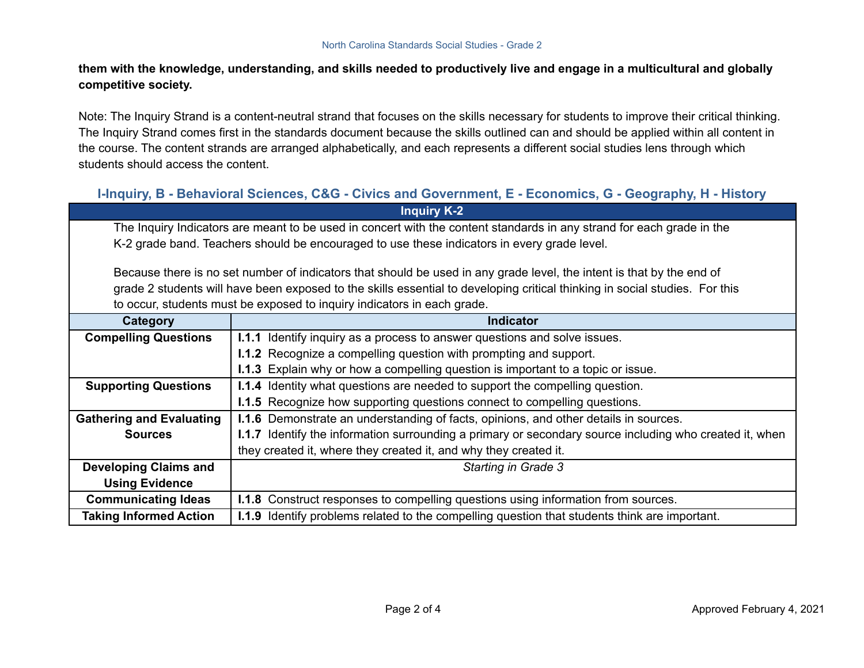them with the knowledge, understanding, and skills needed to productively live and engage in a multicultural and globally **competitive society.**

Note: The Inquiry Strand is a content-neutral strand that focuses on the skills necessary for students to improve their critical thinking. The Inquiry Strand comes first in the standards document because the skills outlined can and should be applied within all content in the course. The content strands are arranged alphabetically, and each represents a different social studies lens through which students should access the content.

## **I-Inquiry, B - Behavioral Sciences, C&G - Civics and Government, E - Economics, G - Geography, H - History Inquiry K-2**

The Inquiry Indicators are meant to be used in concert with the content standards in any strand for each grade in the K-2 grade band. Teachers should be encouraged to use these indicators in every grade level.

Because there is no set number of indicators that should be used in any grade level, the intent is that by the end of grade 2 students will have been exposed to the skills essential to developing critical thinking in social studies. For this to occur, students must be exposed to inquiry indicators in each grade.

| Category                        | <b>Indicator</b>                                                                                        |
|---------------------------------|---------------------------------------------------------------------------------------------------------|
| <b>Compelling Questions</b>     | <b>I.1.1</b> Identify inquiry as a process to answer questions and solve issues.                        |
|                                 | <b>I.1.2</b> Recognize a compelling question with prompting and support.                                |
|                                 | <b>I.1.3</b> Explain why or how a compelling question is important to a topic or issue.                 |
| <b>Supporting Questions</b>     | <b>I.1.4</b> Identity what questions are needed to support the compelling question.                     |
|                                 | <b>I.1.5</b> Recognize how supporting questions connect to compelling questions.                        |
| <b>Gathering and Evaluating</b> | <b>I.1.6</b> Demonstrate an understanding of facts, opinions, and other details in sources.             |
| <b>Sources</b>                  | I.1.7 Identify the information surrounding a primary or secondary source including who created it, when |
|                                 | they created it, where they created it, and why they created it.                                        |
| <b>Developing Claims and</b>    | Starting in Grade 3                                                                                     |
| <b>Using Evidence</b>           |                                                                                                         |
| <b>Communicating Ideas</b>      | <b>I.1.8</b> Construct responses to compelling questions using information from sources.                |
| <b>Taking Informed Action</b>   | I.1.9 Identify problems related to the compelling question that students think are important.           |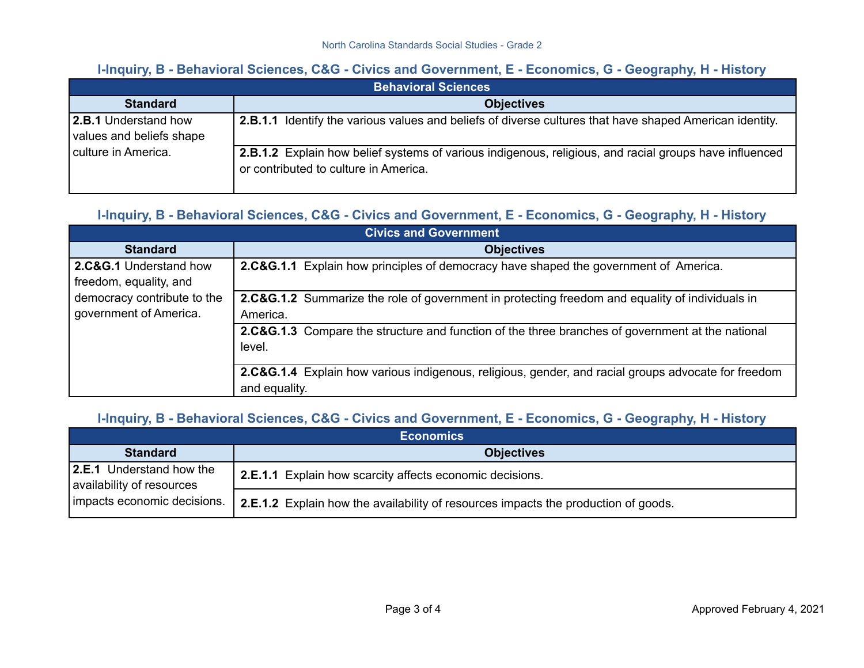## **I-Inquiry, B - Behavioral Sciences, C&G - Civics and Government, E - Economics, G - Geography, H - History**

| <b>Behavioral Sciences</b>                       |                                                                                                                                                 |  |
|--------------------------------------------------|-------------------------------------------------------------------------------------------------------------------------------------------------|--|
| <b>Standard</b>                                  | <b>Objectives</b>                                                                                                                               |  |
| 2.B.1 Understand how<br>values and beliefs shape | <b>2.B.1.1</b> Identify the various values and beliefs of diverse cultures that have shaped American identity.                                  |  |
| culture in America.                              | 2.B.1.2 Explain how belief systems of various indigenous, religious, and racial groups have influenced<br>or contributed to culture in America. |  |

#### **I-Inquiry, B - Behavioral Sciences, C&G - Civics and Government, E - Economics, G - Geography, H - History**

| <b>Civics and Government</b>                          |                                                                                                                      |  |
|-------------------------------------------------------|----------------------------------------------------------------------------------------------------------------------|--|
| <b>Standard</b>                                       | <b>Objectives</b>                                                                                                    |  |
| 2.C&G.1 Understand how<br>freedom, equality, and      | <b>2.C&amp;G.1.1</b> Explain how principles of democracy have shaped the government of America.                      |  |
| democracy contribute to the<br>government of America. | 2.C&G.1.2 Summarize the role of government in protecting freedom and equality of individuals in<br>America.          |  |
|                                                       | 2.C&G.1.3 Compare the structure and function of the three branches of government at the national<br>level.           |  |
|                                                       | 2.C&G.1.4 Explain how various indigenous, religious, gender, and racial groups advocate for freedom<br>and equality. |  |

## **I-Inquiry, B - Behavioral Sciences, C&G - Civics and Government, E - Economics, G - Geography, H - History**

| <b>Economics</b>                                                                            |                                                                                    |  |
|---------------------------------------------------------------------------------------------|------------------------------------------------------------------------------------|--|
| <b>Standard</b>                                                                             | <b>Objectives</b>                                                                  |  |
| <b>2.E.1</b> Understand how the<br>availability of resources<br>Impacts economic decisions. | 2.E.1.1 Explain how scarcity affects economic decisions.                           |  |
|                                                                                             | 2.E.1.2 Explain how the availability of resources impacts the production of goods. |  |